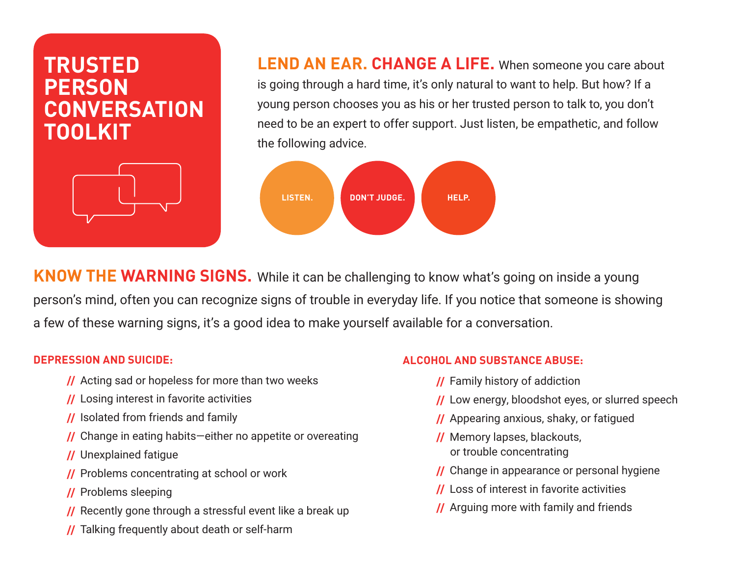# **TRUSTED PERSON CONVERSATION TOOLKIT**



**LEND AN EAR. CHANGE A LIFE.** When someone you care about is going through a hard time, it's only natural to want to help. But how? If a young person chooses you as his or her trusted person to talk to, you don't need to be an expert to offer support. Just listen, be empathetic, and follow the following advice.



**KNOW THE WARNING SIGNS.** While it can be challenging to know what's going on inside a young person's mind, often you can recognize signs of trouble in everyday life. If you notice that someone is showing a few of these warning signs, it's a good idea to make yourself available for a conversation.

#### **DEPRESSION AND SUICIDE:**

- **//** Acting sad or hopeless for more than two weeks
- **//** Losing interest in favorite activities
- **//** Isolated from friends and family
- **//** Change in eating habits—either no appetite or overeating
- **//** Unexplained fatigue
- **//** Problems concentrating at school or work
- **//** Problems sleeping
- **//** Recently gone through a stressful event like a break up
- **//** Talking frequently about death or self-harm

### **ALCOHOL AND SUBSTANCE ABUSE:**

- **//** Family history of addiction
- **//** Low energy, bloodshot eyes, or slurred speech
- **//** Appearing anxious, shaky, or fatigued
- **//** Memory lapses, blackouts, or trouble concentrating
- **//** Change in appearance or personal hygiene
- **//** Loss of interest in favorite activities
- **//** Arguing more with family and friends